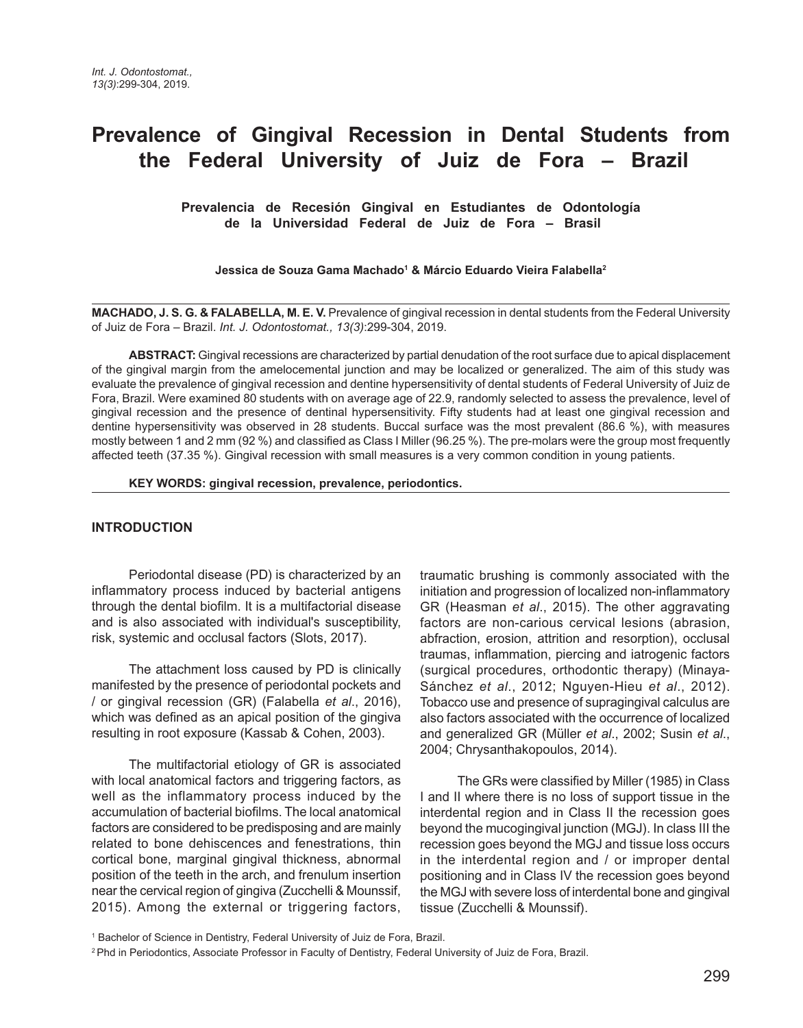# **Prevalence of Gingival Recession in Dental Students from the Federal University of Juiz de Fora – Brazil**

 **Prevalencia de Recesión Gingival en Estudiantes de Odontología de la Universidad Federal de Juiz de Fora – Brasil** 

**Jessica de Souza Gama Machado1 & Márcio Eduardo Vieira Falabella2**

**MACHADO, J. S. G. & FALABELLA, M. E. V.** Prevalence of gingival recession in dental students from the Federal University of Juiz de Fora – Brazil. *Int. J. Odontostomat., 13(3)*:299-304, 2019.

**ABSTRACT:** Gingival recessions are characterized by partial denudation of the root surface due to apical displacement of the gingival margin from the amelocemental junction and may be localized or generalized. The aim of this study was evaluate the prevalence of gingival recession and dentine hypersensitivity of dental students of Federal University of Juiz de Fora, Brazil. Were examined 80 students with on average age of 22.9, randomly selected to assess the prevalence, level of gingival recession and the presence of dentinal hypersensitivity. Fifty students had at least one gingival recession and dentine hypersensitivity was observed in 28 students. Buccal surface was the most prevalent (86.6 %), with measures mostly between 1 and 2 mm (92 %) and classified as Class I Miller (96.25 %). The pre-molars were the group most frequently affected teeth (37.35 %). Gingival recession with small measures is a very common condition in young patients.

**KEY WORDS: gingival recession, prevalence, periodontics.**

#### **INTRODUCTION**

Periodontal disease (PD) is characterized by an inflammatory process induced by bacterial antigens through the dental biofilm. It is a multifactorial disease and is also associated with individual's susceptibility, risk, systemic and occlusal factors (Slots, 2017).

The attachment loss caused by PD is clinically manifested by the presence of periodontal pockets and / or gingival recession (GR) (Falabella *et al*., 2016), which was defined as an apical position of the gingiva resulting in root exposure (Kassab & Cohen, 2003).

The multifactorial etiology of GR is associated with local anatomical factors and triggering factors, as well as the inflammatory process induced by the accumulation of bacterial biofilms. The local anatomical factors are considered to be predisposing and are mainly related to bone dehiscences and fenestrations, thin cortical bone, marginal gingival thickness, abnormal position of the teeth in the arch, and frenulum insertion near the cervical region of gingiva (Zucchelli & Mounssif, 2015). Among the external or triggering factors, traumatic brushing is commonly associated with the initiation and progression of localized non-inflammatory GR (Heasman *et al*., 2015). The other aggravating factors are non-carious cervical lesions (abrasion, abfraction, erosion, attrition and resorption), occlusal traumas, inflammation, piercing and iatrogenic factors (surgical procedures, orthodontic therapy) (Minaya-Sánchez *et al*., 2012; Nguyen-Hieu *et al*., 2012). Tobacco use and presence of supragingival calculus are also factors associated with the occurrence of localized and generalized GR (Müller *et al*., 2002; Susin *et al*., 2004; Chrysanthakopoulos, 2014).

The GRs were classified by Miller (1985) in Class I and II where there is no loss of support tissue in the interdental region and in Class II the recession goes beyond the mucogingival junction (MGJ). In class III the recession goes beyond the MGJ and tissue loss occurs in the interdental region and / or improper dental positioning and in Class IV the recession goes beyond the MGJ with severe loss of interdental bone and gingival tissue (Zucchelli & Mounssif).

<sup>&</sup>lt;sup>1</sup> Bachelor of Science in Dentistry, Federal University of Juiz de Fora, Brazil.

<sup>2</sup> Phd in Periodontics, Associate Professor in Faculty of Dentistry, Federal University of Juiz de Fora, Brazil.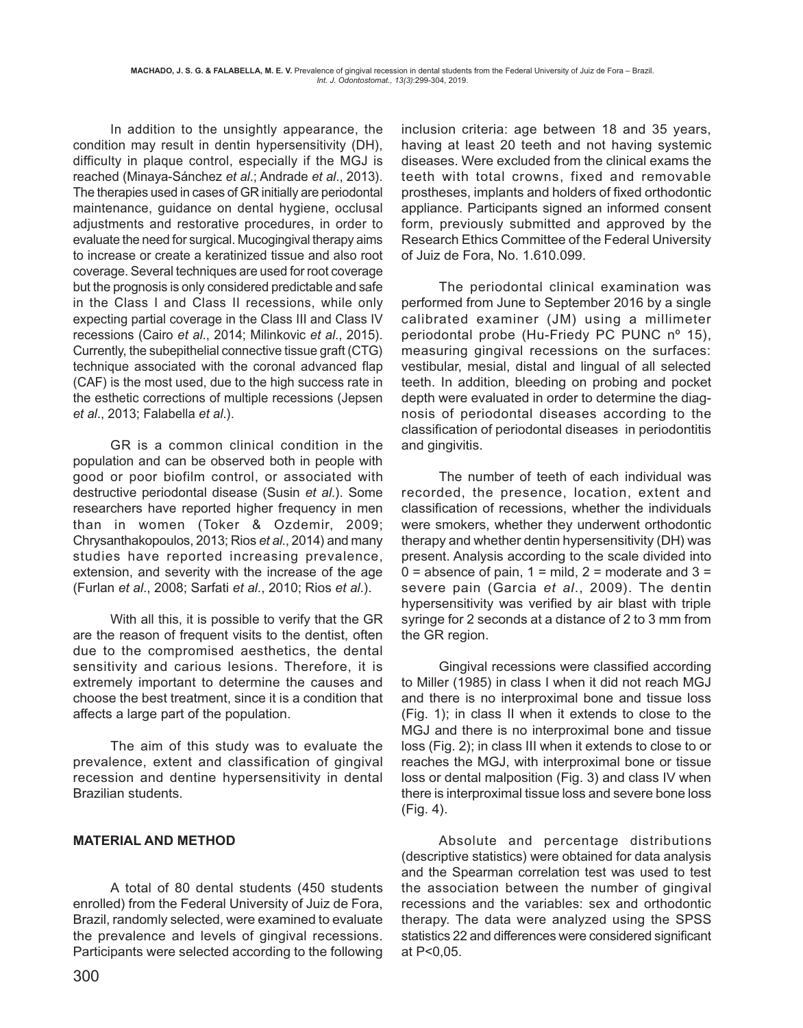In addition to the unsightly appearance, the condition may result in dentin hypersensitivity (DH), difficulty in plaque control, especially if the MGJ is reached (Minaya-Sánchez *et al*.; Andrade *et al*., 2013). The therapies used in cases of GR initially are periodontal maintenance, guidance on dental hygiene, occlusal adjustments and restorative procedures, in order to evaluate the need for surgical. Mucogingival therapy aims to increase or create a keratinized tissue and also root coverage. Several techniques are used for root coverage but the prognosis is only considered predictable and safe in the Class I and Class II recessions, while only expecting partial coverage in the Class III and Class IV recessions (Cairo *et al*., 2014; Milinkovic *et al*., 2015). Currently, the subepithelial connective tissue graft (CTG) technique associated with the coronal advanced flap (CAF) is the most used, due to the high success rate in the esthetic corrections of multiple recessions (Jepsen *et al*., 2013; Falabella *et al*.).

GR is a common clinical condition in the population and can be observed both in people with good or poor biofilm control, or associated with destructive periodontal disease (Susin *et al*.). Some researchers have reported higher frequency in men than in women (Toker & Ozdemir, 2009; Chrysanthakopoulos, 2013; Rios *et al*., 2014) and many studies have reported increasing prevalence, extension, and severity with the increase of the age (Furlan *et al*., 2008; Sarfati *et al*., 2010; Rios *et al*.).

With all this, it is possible to verify that the GR are the reason of frequent visits to the dentist, often due to the compromised aesthetics, the dental sensitivity and carious lesions. Therefore, it is extremely important to determine the causes and choose the best treatment, since it is a condition that affects a large part of the population.

The aim of this study was to evaluate the prevalence, extent and classification of gingival recession and dentine hypersensitivity in dental Brazilian students.

## **MATERIAL AND METHOD**

A total of 80 dental students (450 students enrolled) from the Federal University of Juiz de Fora, Brazil, randomly selected, were examined to evaluate the prevalence and levels of gingival recessions. Participants were selected according to the following

inclusion criteria: age between 18 and 35 years, having at least 20 teeth and not having systemic diseases. Were excluded from the clinical exams the teeth with total crowns, fixed and removable prostheses, implants and holders of fixed orthodontic appliance. Participants signed an informed consent form, previously submitted and approved by the Research Ethics Committee of the Federal University of Juiz de Fora, No. 1.610.099.

The periodontal clinical examination was performed from June to September 2016 by a single calibrated examiner (JM) using a millimeter periodontal probe (Hu-Friedy PC PUNC nº 15), measuring gingival recessions on the surfaces: vestibular, mesial, distal and lingual of all selected teeth. In addition, bleeding on probing and pocket depth were evaluated in order to determine the diagnosis of periodontal diseases according to the classification of periodontal diseases in periodontitis and gingivitis.

The number of teeth of each individual was recorded, the presence, location, extent and classification of recessions, whether the individuals were smokers, whether they underwent orthodontic therapy and whether dentin hypersensitivity (DH) was present. Analysis according to the scale divided into  $0 =$  absence of pain,  $1 =$  mild,  $2 =$  moderate and  $3 =$ severe pain (Garcia *et al*., 2009). The dentin hypersensitivity was verified by air blast with triple syringe for 2 seconds at a distance of 2 to 3 mm from the GR region.

Gingival recessions were classified according to Miller (1985) in class I when it did not reach MGJ and there is no interproximal bone and tissue loss (Fig. 1); in class II when it extends to close to the MGJ and there is no interproximal bone and tissue loss (Fig. 2); in class III when it extends to close to or reaches the MGJ, with interproximal bone or tissue loss or dental malposition (Fig. 3) and class IV when there is interproximal tissue loss and severe bone loss (Fig. 4).

Absolute and percentage distributions (descriptive statistics) were obtained for data analysis and the Spearman correlation test was used to test the association between the number of gingival recessions and the variables: sex and orthodontic therapy. The data were analyzed using the SPSS statistics 22 and differences were considered significant at P<0,05.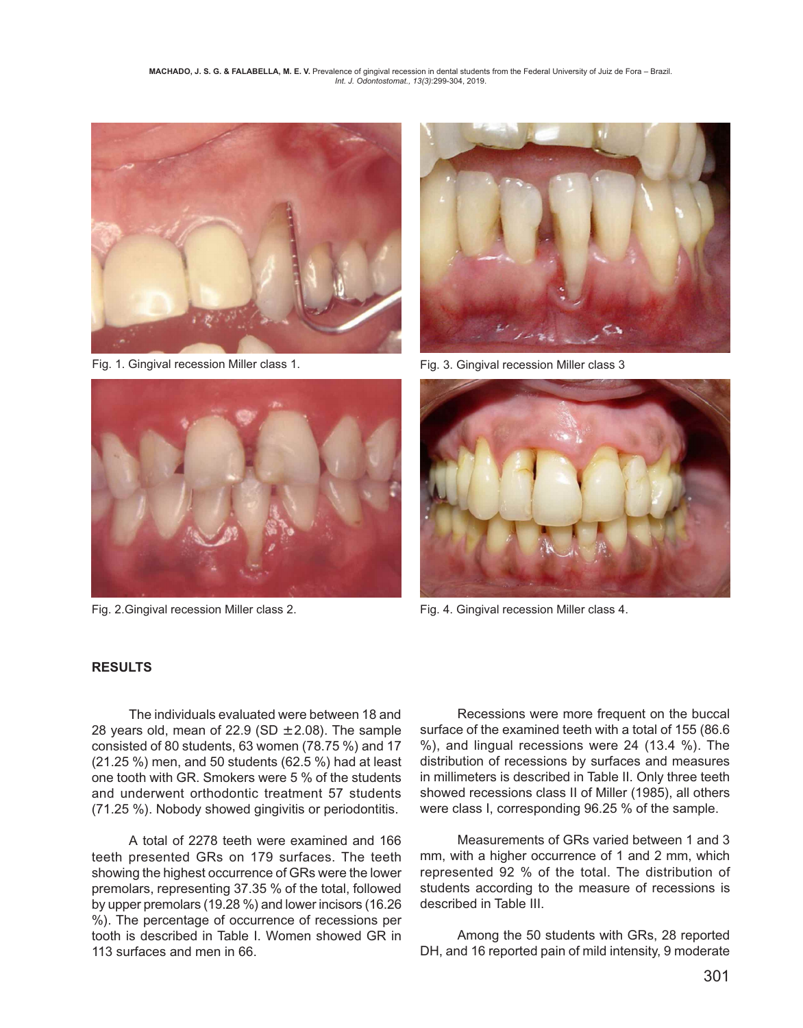

Fig. 1. Gingival recession Miller class 1.



Fig. 2.Gingival recession Miller class 2.



Fig. 3. Gingival recession Miller class 3



Fig. 4. Gingival recession Miller class 4.

### **RESULTS**

The individuals evaluated were between 18 and 28 years old, mean of 22.9 (SD  $\pm$  2.08). The sample consisted of 80 students, 63 women (78.75 %) and 17 (21.25 %) men, and 50 students (62.5 %) had at least one tooth with GR. Smokers were 5 % of the students and underwent orthodontic treatment 57 students (71.25 %). Nobody showed gingivitis or periodontitis.

A total of 2278 teeth were examined and 166 teeth presented GRs on 179 surfaces. The teeth showing the highest occurrence of GRs were the lower premolars, representing 37.35 % of the total, followed by upper premolars (19.28 %) and lower incisors (16.26 %). The percentage of occurrence of recessions per tooth is described in Table I. Women showed GR in 113 surfaces and men in 66.

Recessions were more frequent on the buccal surface of the examined teeth with a total of 155 (86.6 %), and lingual recessions were 24 (13.4 %). The distribution of recessions by surfaces and measures in millimeters is described in Table II. Only three teeth showed recessions class II of Miller (1985), all others were class I, corresponding 96.25 % of the sample.

Measurements of GRs varied between 1 and 3 mm, with a higher occurrence of 1 and 2 mm, which represented 92 % of the total. The distribution of students according to the measure of recessions is described in Table III.

Among the 50 students with GRs, 28 reported DH, and 16 reported pain of mild intensity, 9 moderate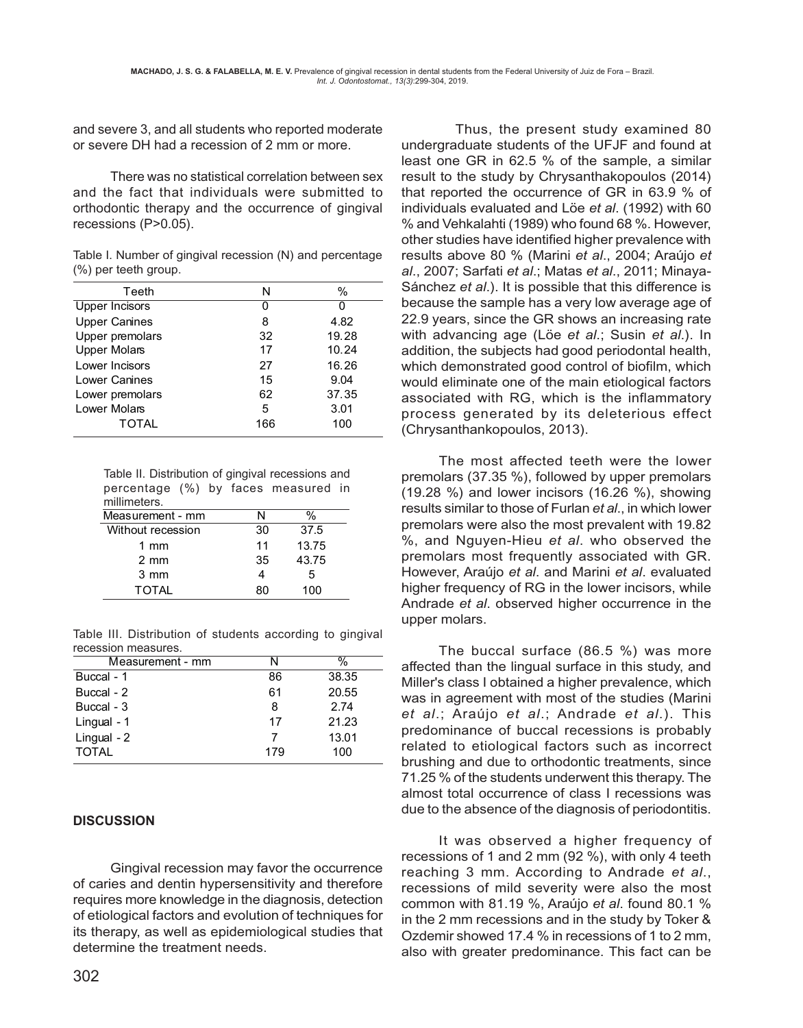and severe 3, and all students who reported moderate or severe DH had a recession of 2 mm or more.

There was no statistical correlation between sex and the fact that individuals were submitted to orthodontic therapy and the occurrence of gingival recessions (P>0.05).

Table I. Number of gingival recession (N) and percentage (%) per teeth group.

| Teeth                 | N   | $\%$  |
|-----------------------|-----|-------|
| <b>Upper Incisors</b> | 0   | ი     |
| <b>Upper Canines</b>  | 8   | 4.82  |
| Upper premolars       | 32  | 19.28 |
| <b>Upper Molars</b>   | 17  | 10.24 |
| Lower Incisors        | 27  | 16.26 |
| Lower Canines         | 15  | 9.04  |
| Lower premolars       | 62  | 37.35 |
| Lower Molars          | 5   | 3.01  |
| TOTAL                 | 166 | 100   |
|                       |     |       |

Table II. Distribution of gingival recessions and percentage (%) by faces measured in millimeters.

| Measurement - mm  | N  | ℅     |
|-------------------|----|-------|
| Without recession | 30 | 37.5  |
| 1 mm              | 11 | 13.75 |
| $2 \text{ mm}$    | 35 | 43.75 |
| $3 \, \text{mm}$  |    | 5     |
| <b>TOTAL</b>      | 80 | 100   |

Table III. Distribution of students according to gingival recession measures.

| Measurement - mm | N   | %     |
|------------------|-----|-------|
| Buccal - 1       | 86  | 38.35 |
| Buccal - 2       | 61  | 20.55 |
| Buccal - 3       | 8   | 2.74  |
| Lingual - 1      | 17  | 21.23 |
| $L$ ingual - $2$ | 7   | 13.01 |
| <b>TOTAL</b>     | 179 | 100   |

### **DISCUSSION**

Gingival recession may favor the occurrence of caries and dentin hypersensitivity and therefore requires more knowledge in the diagnosis, detection of etiological factors and evolution of techniques for its therapy, as well as epidemiological studies that determine the treatment needs.

 Thus, the present study examined 80 undergraduate students of the UFJF and found at least one GR in 62.5 % of the sample, a similar result to the study by Chrysanthakopoulos (2014) that reported the occurrence of GR in 63.9 % of individuals evaluated and Löe *et al*. (1992) with 60 % and Vehkalahti (1989) who found 68 %. However, other studies have identified higher prevalence with results above 80 % (Marini *et al*., 2004; Araújo *et al*., 2007; Sarfati *et al*.; Matas *et al*., 2011; Minaya-Sánchez *et al*.). It is possible that this difference is because the sample has a very low average age of 22.9 years, since the GR shows an increasing rate with advancing age (Löe *et al*.; Susin *et al*.). In addition, the subjects had good periodontal health, which demonstrated good control of biofilm, which would eliminate one of the main etiological factors associated with RG, which is the inflammatory process generated by its deleterious effect (Chrysanthankopoulos, 2013).

The most affected teeth were the lower premolars (37.35 %), followed by upper premolars (19.28 %) and lower incisors (16.26 %), showing results similar to those of Furlan *et al*., in which lower premolars were also the most prevalent with 19.82 %, and Nguyen-Hieu *et al*. who observed the premolars most frequently associated with GR. However, Araújo *et al*. and Marini *et al*. evaluated higher frequency of RG in the lower incisors, while Andrade *et al*. observed higher occurrence in the upper molars.

The buccal surface (86.5 %) was more affected than the lingual surface in this study, and Miller's class I obtained a higher prevalence, which was in agreement with most of the studies (Marini *et al*.; Araújo *et al*.; Andrade *et al*.). This predominance of buccal recessions is probably related to etiological factors such as incorrect brushing and due to orthodontic treatments, since 71.25 % of the students underwent this therapy. The almost total occurrence of class I recessions was due to the absence of the diagnosis of periodontitis.

It was observed a higher frequency of recessions of 1 and 2 mm (92 %), with only 4 teeth reaching 3 mm. According to Andrade *et al*., recessions of mild severity were also the most common with 81.19 %, Araújo *et al*. found 80.1 % in the 2 mm recessions and in the study by Toker & Ozdemir showed 17.4 % in recessions of 1 to 2 mm, also with greater predominance. This fact can be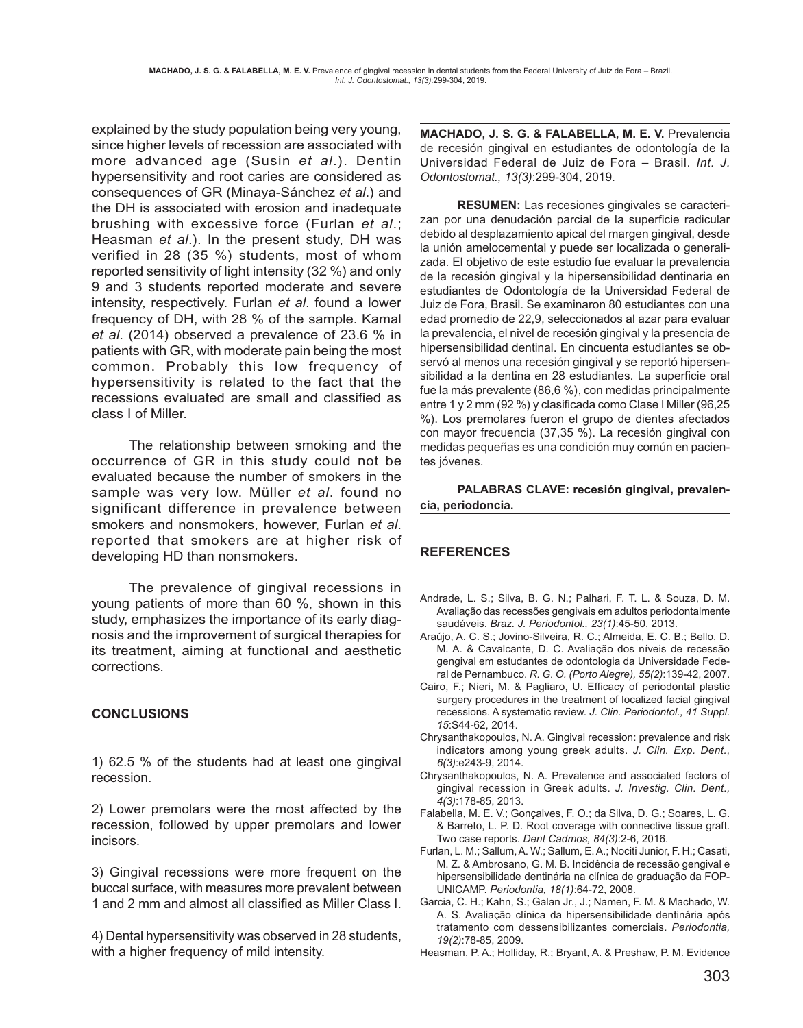explained by the study population being very young, since higher levels of recession are associated with more advanced age (Susin *et al*.). Dentin hypersensitivity and root caries are considered as consequences of GR (Minaya-Sánchez *et al*.) and the DH is associated with erosion and inadequate brushing with excessive force (Furlan *et al*.; Heasman *et al*.). In the present study, DH was verified in 28 (35 %) students, most of whom reported sensitivity of light intensity (32 %) and only 9 and 3 students reported moderate and severe intensity, respectively. Furlan *et al*. found a lower frequency of DH, with 28 % of the sample. Kamal *et al*. (2014) observed a prevalence of 23.6 % in patients with GR, with moderate pain being the most common. Probably this low frequency of hypersensitivity is related to the fact that the recessions evaluated are small and classified as class I of Miller.

The relationship between smoking and the occurrence of GR in this study could not be evaluated because the number of smokers in the sample was very low. Müller *et al*. found no significant difference in prevalence between smokers and nonsmokers, however, Furlan *et al*. reported that smokers are at higher risk of developing HD than nonsmokers.

The prevalence of gingival recessions in young patients of more than 60 %, shown in this study, emphasizes the importance of its early diagnosis and the improvement of surgical therapies for its treatment, aiming at functional and aesthetic corrections.

## **CONCLUSIONS**

1) 62.5 % of the students had at least one gingival recession.

2) Lower premolars were the most affected by the recession, followed by upper premolars and lower incisors.

3) Gingival recessions were more frequent on the buccal surface, with measures more prevalent between 1 and 2 mm and almost all classified as Miller Class I.

4) Dental hypersensitivity was observed in 28 students, with a higher frequency of mild intensity.

**MACHADO, J. S. G. & FALABELLA, M. E. V.** Prevalencia de recesión gingival en estudiantes de odontología de la Universidad Federal de Juiz de Fora – Brasil. *Int. J. Odontostomat., 13(3)*:299-304, 2019.

**RESUMEN:** Las recesiones gingivales se caracterizan por una denudación parcial de la superficie radicular debido al desplazamiento apical del margen gingival, desde la unión amelocemental y puede ser localizada o generalizada. El objetivo de este estudio fue evaluar la prevalencia de la recesión gingival y la hipersensibilidad dentinaria en estudiantes de Odontología de la Universidad Federal de Juiz de Fora, Brasil. Se examinaron 80 estudiantes con una edad promedio de 22,9, seleccionados al azar para evaluar la prevalencia, el nivel de recesión gingival y la presencia de hipersensibilidad dentinal. En cincuenta estudiantes se observó al menos una recesión gingival y se reportó hipersensibilidad a la dentina en 28 estudiantes. La superficie oral fue la más prevalente (86,6 %), con medidas principalmente entre 1 y 2 mm (92 %) y clasificada como Clase I Miller (96,25 %). Los premolares fueron el grupo de dientes afectados con mayor frecuencia (37,35 %). La recesión gingival con medidas pequeñas es una condición muy común en pacientes jóvenes.

**PALABRAS CLAVE: recesión gingival, prevalencia, periodoncia.**

## **REFERENCES**

- Andrade, L. S.; Silva, B. G. N.; Palhari, F. T. L. & Souza, D. M. Avaliação das recessões gengivais em adultos periodontalmente saudáveis. *Braz. J. Periodontol., 23(1)*:45-50, 2013.
- Araújo, A. C. S.; Jovino-Silveira, R. C.; Almeida, E. C. B.; Bello, D. M. A. & Cavalcante, D. C. Avaliação dos níveis de recessão gengival em estudantes de odontologia da Universidade Federal de Pernambuco. *R. G. O. (Porto Alegre), 55(2)*:139-42, 2007.
- Cairo, F.; Nieri, M. & Pagliaro, U. Efficacy of periodontal plastic surgery procedures in the treatment of localized facial gingival recessions. A systematic review. *J. Clin. Periodontol., 41 Suppl. 15*:S44-62, 2014.
- Chrysanthakopoulos, N. A. Gingival recession: prevalence and risk indicators among young greek adults. *J. Clin. Exp. Dent., 6(3)*:e243-9, 2014.
- Chrysanthakopoulos, N. A. Prevalence and associated factors of gingival recession in Greek adults. *J. Investig. Clin. Dent., 4(3)*:178-85, 2013.
- Falabella, M. E. V.; Gonçalves, F. O.; da Silva, D. G.; Soares, L. G. & Barreto, L. P. D. Root coverage with connective tissue graft. Two case reports. *Dent Cadmos, 84(3)*:2-6, 2016.
- Furlan, L. M.; Sallum, A. W.; Sallum, E. A.; Nociti Junior, F. H.; Casati, M. Z. & Ambrosano, G. M. B. Incidência de recessão gengival e hipersensibilidade dentinária na clínica de graduação da FOP-UNICAMP. *Periodontia, 18(1)*:64-72, 2008.
- Garcia, C. H.; Kahn, S.; Galan Jr., J.; Namen, F. M. & Machado, W. A. S. Avaliação clínica da hipersensibilidade dentinária após tratamento com dessensibilizantes comerciais. *Periodontia, 19(2)*:78-85, 2009.

Heasman, P. A.; Holliday, R.; Bryant, A. & Preshaw, P. M. Evidence